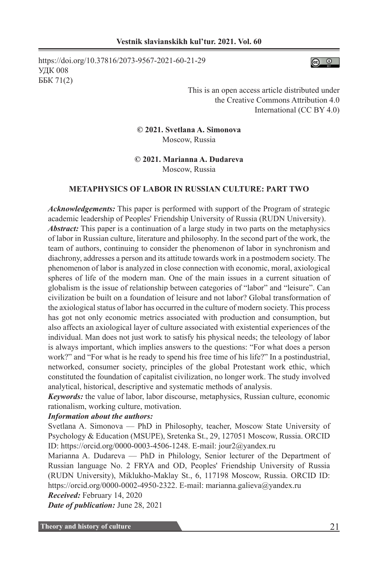https://doi.org/10.37816/2073-9567-2021-60-21-29 УДК 008 ББК 71(2)



This is an open access article distributed under the Creative Commons Attribution 4.0 International (CC BY 4.0)

**© 2021. Svetlana A. Simonova** Moscow, Russia

**© 2021. Marianna A. Dudareva** Moscow, Russia

### **METAPHYSICS OF LABOR IN RUSSIAN CULTURE: PART TWO**

*Acknowledgements:* This paper is performed with support of the Program of strategic academic leadership of Peoples' Friendship University of Russia (RUDN University). *Abstract:* This paper is a continuation of a large study in two parts on the metaphysics of labor in Russian culture, literature and philosophy. In the second part of the work, the team of authors, continuing to consider the phenomenon of labor in synchronism and diachrony, addresses а person and its attitude towards work in a postmodern society. The phenomenon of labor is analyzed in close connection with economic, moral, axiological spheres of life of the modern man. One of the main issues in a current situation of globalism is the issue of relationship between categories of "labor" and "leisure". Can civilization be built on a foundation of leisure and not labor? Global transformation of the axiological status of labor has occurred in the culture of modern society. This process has got not only economic metrics associated with production and consumption, but also affects an axiological layer of culture associated with existential experiences of the individual. Man does not just work to satisfy his physical needs; the teleology of labor is always important, which implies answers to the questions: "For what does a person work?" and "For what is he ready to spend his free time of his life?" In a postindustrial, networked, consumer society, principles of the global Protestant work ethic, which constituted the foundation of capitalist civilization, no longer work. The study involved analytical, historical, descriptive and systematic methods of analysis.

*Keywords:* the value of labor, labor discourse, metaphysics, Russian culture, economic rationalism, working culture, motivation.

#### *Information about the authors:*

Svetlana A. Simonova — PhD in Philosophy, teacher, Moscow State University of Psychology & Education (MSUPE), Sretenka St., 29, 127051 Moscow, Russia. ORCID ID: https://orcid.org/0000-0003-4506-1248. E-mail: jour2@yandex.ru

Marianna A. Dudareva — PhD in Philology, Senior lecturer of the Department of Russian language No. 2 FRYA and OD, Peoples' Friendship University of Russia (RUDN University), Miklukho-Maklay St., 6, 117198 Moscow, Russia. ORCID ID: https://orcid.org/0000-0002-4950-2322. E-mail: marianna.galieva@yandex.ru

*Received:* February 14, 2020

*Date of publication:* June 28, 2021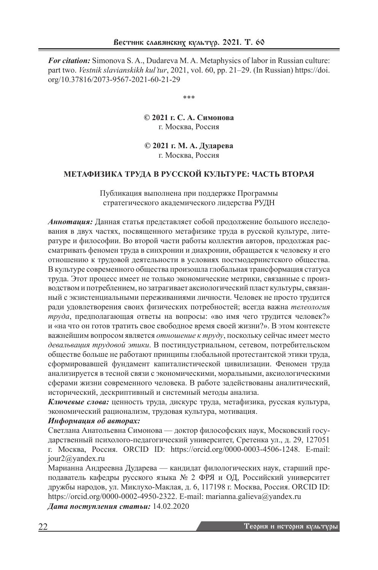*For citation:* Simonova S. A., Dudareva M. A. Metaphysics of labor in Russian culture: part two. *Vestnik slavianskikh kul'tur*, 2021, vol. 60, pp. 21–29. (In Russian) https://doi. org/10.37816/2073-9567-2021-60-21-29

\*\*\*

**© 2021 г. С. А. Симонова** г. Москва, Россия

**© 2021 г. М. А. Дударева** г. Москва, Россия

## **МЕТАФИЗИКА ТРУДА В РУССКОЙ КУЛЬТУРЕ: ЧАСТЬ ВТОРАЯ**

Публикация выполнена при поддержке Программы стратегического академического лидерства РУДН

*Аннотация:* Данная статья представляет собой продолжение большого исследования в двух частях, посвященного метафизике труда в русской культуре, литературе и философии. Во второй части работы коллектив авторов, продолжая рассматривать феномен труда в синхронии и диахронии, обращается к человеку и его отношению к трудовой деятельности в условиях постмодернистского общества. В культуре современного общества произошла глобальная трансформация статуса труда. Этот процесс имеет не только экономические метрики, связанные с производством и потреблением, но затрагивает аксиологический пласт культуры, связанный с экзистенциальными переживаниями личности. Человек не просто трудится ради удовлетворения своих физических потребностей; всегда важна *телеология труда*, предполагающая ответы на вопросы: «во имя чего трудится человек?» и «на что он готов тратить свое свободное время своей жизни?». В этом контексте важнейшим вопросом является *отношение к труду*, поскольку сейчас имеет место *девальвация трудовой этики*. В постиндустриальном, сетевом, потребительском обществе больше не работают принципы глобальной протестантской этики труда, сформировавшей фундамент капиталистической цивилизации. Феномен труда анализируется в тесной связи с экономическими, моральными, аксиологическими сферами жизни современного человека. В работе задействованы аналитический, исторический, дескриптивный и системный методы анализа.

*Ключевые слова:* ценность труда, дискурс труда, метафизика, русская культура, экономический рационализм, трудовая культура, мотивация.

### *Информация об авторах:*

Светлана Анатольевна Симонова — доктор философских наук, Московский государственный психолого-педагогический университет, Сретенка ул., д. 29, 127051 г. Москва, Россия. ORCID ID: https://orcid.org/0000-0003-4506-1248. E-mail: jour2@yandex.ru

Марианна Андреевна Дударева — кандидат филологических наук, старший преподаватель кафедры русского языка № 2 ФРЯ и ОД, Российский университет дружбы народов, ул. Миклухо-Маклая, д. 6, 117198 г. Москва, Россия. ORCID ID: https://orcid.org/0000-0002-4950-2322. E-mail: marianna.galieva@yandex.ru *Дата поступления статьи:* 14.02.2020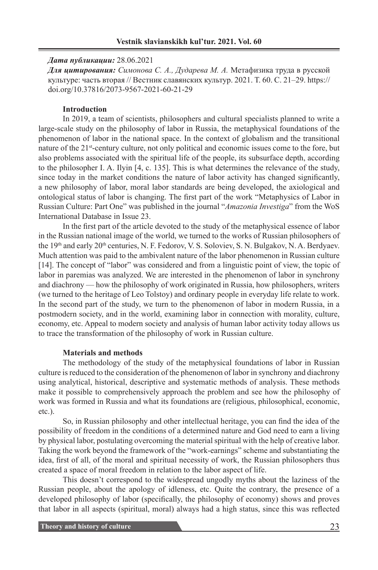#### *Дата публикации:* 28.06.2021

*Для цитирования: Симонова С. А., Дударева М. А.* Метафизика труда в русской культуре: часть вторая // Вестник славянских культур. 2021. Т. 60. С. 21–29. https:// doi.org/10.37816/2073-9567-2021-60-21-29

### **Introduction**

In 2019, a team of scientists, philosophers and cultural specialists planned to write a large-scale study on the philosophy of labor in Russia, the metaphysical foundations of the phenomenon of labor in the national space. In the context of globalism and the transitional nature of the 21<sup>st</sup>-century culture, not only political and economic issues come to the fore, but also problems associated with the spiritual life of the people, its subsurface depth, according to the philosopher I. A. Ilyin [4, с. 135]. This is what determines the relevance of the study, since today in the market conditions the nature of labor activity has changed significantly, a new philosophy of labor, moral labor standards are being developed, the axiological and ontological status of labor is changing. The first part of the work "Metaphysics of Labor in Russian Culture: Part One" was published in the journal "*Amazonia Investiga*" from the WoS International Database in Issue 23.

In the first part of the article devoted to the study of the metaphysical essence of labor in the Russian national image of the world, we turned to the works of Russian philosophers of the 19<sup>th</sup> and early 20<sup>th</sup> centuries, N. F. Fedorov, V. S. Soloviev, S. N. Bulgakov, N. A. Berdyaev. Much attention was paid to the ambivalent nature of the labor phenomenon in Russian culture [14]. The concept of "labor" was considered and from a linguistic point of view, the topic of labor in paremias was analyzed. We are interested in the phenomenon of labor in synchrony and diachrony — how the philosophy of work originated in Russia, how philosophers, writers (we turned to the heritage of Leo Tolstoy) and ordinary people in everyday life relate to work. In the second part of the study, we turn to the phenomenon of labor in modern Russia, in a postmodern society, and in the world, examining labor in connection with morality, culture, economy, etc. Appeal to modern society and analysis of human labor activity today allows us to trace the transformation of the philosophy of work in Russian culture.

#### **Materials and methods**

The methodology of the study of the metaphysical foundations of labor in Russian culture is reduced to the consideration of the phenomenon of labor in synchrony and diachrony using analytical, historical, descriptive and systematic methods of analysis. These methods make it possible to comprehensively approach the problem and see how the philosophy of work was formed in Russia and what its foundations are (religious, philosophical, economic, etc.).

So, in Russian philosophy and other intellectual heritage, you can find the idea of the possibility of freedom in the conditions of a determined nature and God need to earn a living by physical labor, postulating overcoming the material spiritual with the help of creative labor. Taking the work beyond the framework of the "work-earnings" scheme and substantiating the idea, first of all, of the moral and spiritual necessity of work, the Russian philosophers thus created a space of moral freedom in relation to the labor aspect of life.

This doesn't correspond to the widespread ungodly myths about the laziness of the Russian people, about the apology of idleness, etc. Quite the contrary, the presence of a developed philosophy of labor (specifically, the philosophy of economy) shows and proves that labor in all aspects (spiritual, moral) always had a high status, since this was reflected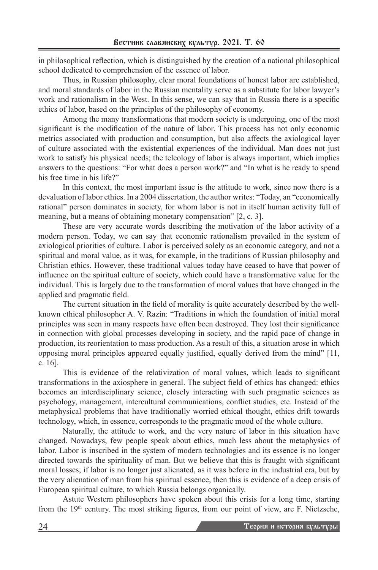in philosophical reflection, which is distinguished by the creation of a national philosophical school dedicated to comprehension of the essence of labor.

Thus, in Russian philosophy, clear moral foundations of honest labor are established, and moral standards of labor in the Russian mentality serve as a substitute for labor lawyer's work and rationalism in the West. In this sense, we can say that in Russia there is a specific ethics of labor, based on the principles of the philosophy of economy.

Among the many transformations that modern society is undergoing, one of the most significant is the modification of the nature of labor. This process has not only economic metrics associated with production and consumption, but also affects the axiological layer of culture associated with the existential experiences of the individual. Man does not just work to satisfy his physical needs; the teleology of labor is always important, which implies answers to the questions: "For what does a person work?" and "In what is he ready to spend his free time in his life?"

In this context, the most important issue is the attitude to work, since now there is a devaluation of labor ethics. In a 2004 dissertation, the author writes: "Today, an "economically rational" person dominates in society, for whom labor is not in itself human activity full of meaning, but a means of obtaining monetary compensation" [2, c. 3].

These are very accurate words describing the motivation of the labor activity of a modern person. Today, we can say that economic rationalism prevailed in the system of axiological priorities of culture. Labor is perceived solely as an economic category, and not a spiritual and moral value, as it was, for example, in the traditions of Russian philosophy and Christian ethics. However, these traditional values today have ceased to have that power of influence on the spiritual culture of society, which could have a transformative value for the individual. This is largely due to the transformation of moral values that have changed in the applied and pragmatic field.

The current situation in the field of morality is quite accurately described by the wellknown ethical philosopher A. V. Razin: "Traditions in which the foundation of initial moral principles was seen in many respects have often been destroyed. They lost their significance in connection with global processes developing in society, and the rapid pace of change in production, its reorientation to mass production. As a result of this, a situation arose in which opposing moral principles appeared equally justified, equally derived from the mind" [11, с. 16].

This is evidence of the relativization of moral values, which leads to significant transformations in the axiosphere in general. The subject field of ethics has changed: ethics becomes an interdisciplinary science, closely interacting with such pragmatic sciences as psychology, management, intercultural communications, conflict studies, etc. Instead of the metaphysical problems that have traditionally worried ethical thought, ethics drift towards technology, which, in essence, corresponds to the pragmatic mood of the whole culture.

Naturally, the attitude to work, and the very nature of labor in this situation have changed. Nowadays, few people speak about ethics, much less about the metaphysics of labor. Labor is inscribed in the system of modern technologies and its essence is no longer directed towards the spirituality of man. But we believe that this is fraught with significant moral losses; if labor is no longer just alienated, as it was before in the industrial era, but by the very alienation of man from his spiritual essence, then this is evidence of a deep crisis of European spiritual culture, to which Russia belongs organically.

Astute Western philosophers have spoken about this crisis for a long time, starting from the  $19<sup>th</sup>$  century. The most striking figures, from our point of view, are F. Nietzsche,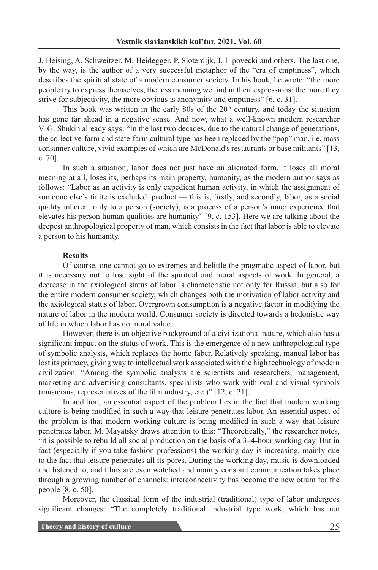J. Heising, A. Schweitzer, M. Heidegger, P. Sloterdijk, J. Lipovecki and others. The last one, by the way, is the author of a very successful metaphor of the "era of emptiness", which describes the spiritual state of a modern consumer society. In his book, he wrote: "the more people try to express themselves, the less meaning we find in their expressions; the more they strive for subjectivity, the more obvious is anonymity and emptiness" [6, c. 31].

This book was written in the early 80s of the  $20<sup>th</sup>$  century, and today the situation has gone far ahead in a negative sense. And now, what a well-known modern researcher V. G. Shukin already says: "In the last two decades, due to the natural change of generations, the collective-farm and state-farm cultural type has been replaced by the "pop" man, i.e. mass consumer culture, vivid examples of which are McDonald's restaurants or base militants" [13, с. 70].

In such a situation, labor does not just have an alienated form, it loses all moral meaning at all, loses its, perhaps its main property, humanity, as the modern author says as follows: "Labor as an activity is only expedient human activity, in which the assignment of someone else's finite is excluded. product — this is, firstly, and secondly, labor, as a social quality inherent only to a person (society), is a process of a person's inner experience that elevates his person human qualities are humanity" [9, с. 153]. Here we are talking about the deepest anthropological property of man, which consists in the fact that labor is able to elevate a person to his humanity.

#### **Results**

Of course, one cannot go to extremes and belittle the pragmatic aspect of labor, but it is necessary not to lose sight of the spiritual and moral aspects of work. In general, a decrease in the axiological status of labor is characteristic not only for Russia, but also for the entire modern consumer society, which changes both the motivation of labor activity and the axiological status of labor. Overgrown consumption is a negative factor in modifying the nature of labor in the modern world. Consumer society is directed towards a hedonistic way of life in which labor has no moral value.

However, there is an objective background of a civilizational nature, which also has a significant impact on the status of work. This is the emergence of a new anthropological type of symbolic analysts, which replaces the homo faber. Relatively speaking, manual labor has lost its primacy, giving way to intellectual work associated with the high technology of modern civilization. "Among the symbolic analysts are scientists and researchers, management, marketing and advertising consultants, specialists who work with oral and visual symbols (musicians, representatives of the film industry, etc.)" [12, с. 21].

In addition, an essential aspect of the problem lies in the fact that modern working culture is being modified in such a way that leisure penetrates labor. An essential aspect of the problem is that modern working culture is being modified in such a way that leisure penetrates labor. M. Mayatsky draws attention to this: "Theoretically," the researcher notes, "it is possible to rebuild all social production on the basis of a 3–4-hour working day. But in fact (especially if you take fashion professions) the working day is increasing, mainly due to the fact that leisure penetrates all its pores. During the working day, music is downloaded and listened to, and films are even watched and mainly constant communication takes place through a growing number of channels: interconnectivity has become the new otium for the people [8, с. 50].

Moreover, the classical form of the industrial (traditional) type of labor undergoes significant changes: "The completely traditional industrial type work, which has not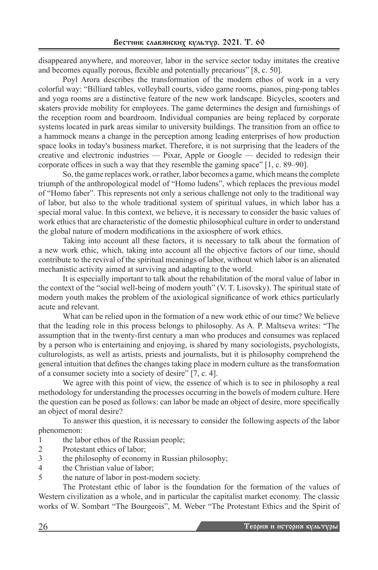disappeared anywhere, and moreover, labor in the service sector today imitates the creative and becomes equally porous, flexible and potentially precarious" [8, с. 50].

Poyl Arora describes the transformation of the modern ethos of work in a very colorful way: "Billiard tables, volleyball courts, video game rooms, pianos, ping-pong tables and yoga rooms are a distinctive feature of the new work landscape. Bicycles, scooters and skaters provide mobility for employees. The game determines the design and furnishings of the reception room and boardroom. Individual companies are being replaced by corporate systems located in park areas similar to university buildings. The transition from an office to a hammock means a change in the perception among leading enterprises of how production space looks in today's business market. Therefore, it is not surprising that the leaders of the creative and electronic industries — Pixar, Apple or Google — decided to redesign their corporate offices in such a way that they resemble the gaming space" [1, c. 89–90].

So, the game replaces work, or rather, labor becomes a game, which means the complete triumph of the anthropological model of "Homo ludens", which replaces the previous model of "Homo faber". This represents not only a serious challenge not only to the traditional way of labor, but also to the whole traditional system of spiritual values, in which labor has a special moral value. In this context, we believe, it is necessary to consider the basic values of work ethics that are characteristic of the domestic philosophical culture in order to understand the global nature of modern modifications in the axiosphere of work ethics.

Taking into account all these factors, it is necessary to talk about the formation of a new work ethic, which, taking into account all the objective factors of our time, should contribute to the revival of the spiritual meanings of labor, without which labor is an alienated mechanistic activity aimed at surviving and adapting to the world.

It is especially important to talk about the rehabilitation of the moral value of labor in the context of the "social well-being of modern youth" (V. T. Lisovsky). The spiritual state of modern youth makes the problem of the axiological significance of work ethics particularly acute and relevant.

What can be relied upon in the formation of a new work ethic of our time? We believe that the leading role in this process belongs to philosophy. As A. P. Maltseva writes: "The assumption that in the twenty-first century a man who produces and consumes was replaced by a person who is entertaining and enjoying, is shared by many sociologists, psychologists, culturologists, as well as artists, priests and journalists, but it is philosophy comprehend the general intuition that defines the changes taking place in modern culture as the transformation of a consumer society into a society of desire" [7, с. 4].

We agree with this point of view, the essence of which is to see in philosophy a real methodology for understanding the processes occurring in the bowels of modern culture. Here the question can be posed as follows: can labor be made an object of desire, more specifically an object of moral desire?

To answer this question, it is necessary to consider the following aspects of the labor phenomenon:

- 1 the labor ethos of the Russian people;
- 2 Protestant ethics of labor;
- 3 the philosophy of economy in Russian philosophy;
- 4 the Christian value of labor;
- 5 the nature of labor in post-modern society.

The Protestant ethic of labor is the foundation for the formation of the values of Western civilization as a whole, and in particular the capitalist market economy. The classic works of W. Sombart "The Bourgeois", M. Weber "The Protestant Ethics and the Spirit of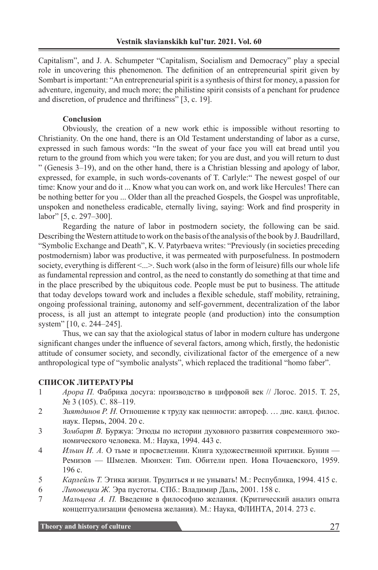Capitalism", and J. A. Schumpeter "Capitalism, Socialism and Democracy" play a special role in uncovering this phenomenon. The definition of an entrepreneurial spirit given by Sombart is important: "An entrepreneurial spirit is a synthesis of thirst for money, a passion for adventure, ingenuity, and much more; the philistine spirit consists of a penchant for prudence and discretion, of prudence and thriftiness" [3, c. 19].

## **Conclusion**

Obviously, the creation of a new work ethic is impossible without resorting to Christianity. On the one hand, there is an Old Testament understanding of labor as a curse, expressed in such famous words: "In the sweat of your face you will eat bread until you return to the ground from which you were taken; for you are dust, and you will return to dust " (Genesis 3–19), and on the other hand, there is a Christian blessing and apology of labor, expressed, for example, in such words-covenants of T. Carlyle:" The newest gospel of our time: Know your and do it ... Know what you can work on, and work like Hercules! There can be nothing better for you ... Older than all the preached Gospels, the Gospel was unprofitable, unspoken and nonetheless eradicable, eternally living, saying: Work and find prosperity in labor" [5, с. 297–300].

Regarding the nature of labor in postmodern society, the following can be said. Describing the Western attitude to work on the basis of the analysis of the book by J. Baudrillard, "Symbolic Exchange and Death", K. V. Patyrbaeva writes: "Previously (in societies preceding postmodernism) labor was productive, it was permeated with purposefulness. In postmodern society, everything is different <...>. Such work (also in the form of leisure) fills our whole life as fundamental repression and control, as the need to constantly do something at that time and in the place prescribed by the ubiquitous code. People must be put to business. The attitude that today develops toward work and includes a flexible schedule, staff mobility, retraining, ongoing professional training, autonomy and self-government, decentralization of the labor process, is all just an attempt to integrate people (and production) into the consumption system" [10, с. 244–245].

Thus, we can say that the axiological status of labor in modern culture has undergone significant changes under the influence of several factors, among which, firstly, the hedonistic attitude of consumer society, and secondly, civilizational factor of the emergence of a new anthropological type of "symbolic analysts", which replaced the traditional "homo faber".

## **СПИСОК ЛИТЕРАТУРЫ**

- 1 *Арора П.* Фабрика досуга: производство в цифровой век // Логос. 2015. Т. 25, № 3 (105). С. 88–119.
- 2 *Зиятдинов Р. Н.* Отношение к труду как ценности: автореф. … дис. канд. филос. наук. Пермь, 2004. 20 с.
- 3 *Зомбарт В.* Буржуа: Этюды по истории духовного развития современного экономического человека. М.: Наука, 1994. 443 с.
- 4 *Ильин И. А.* О тьме и просветлении. Книга художественной критики. Бунин Ремизов — Шмелев. Мюнхен: Тип. Обители преп. Иова Почаевского, 1959. 196 с.
- 5 *Карлейль Т.* Этика жизни. Трудиться и не унывать! М.: Республика, 1994. 415 с.
- 6 *Липовецки Ж.* Эра пустоты. СПб.: Владимир Даль, 2001. 158 с.
- 7 *Мальцева А. П.* Введение в философию желания. (Критический анализ опыта концептуализации феномена желания). М.: Наука, ФЛИНТА, 2014. 273 с.

**Theory and history of culture** 27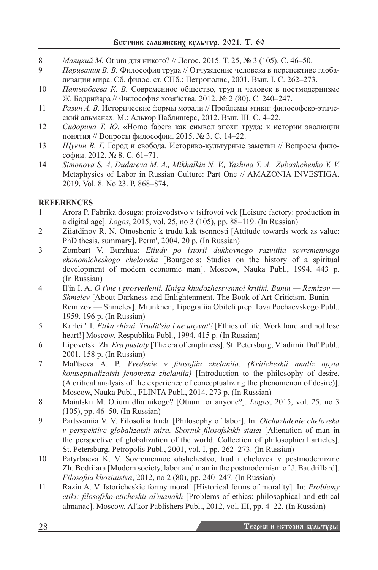- 8 *Маяцкий М.* Оtium для никого? // Логос. 2015. Т. 25, № 3 (105). С. 46–50.
- 9 *Парцвания В. В.* Философия труда // Отчуждение человека в перспективе глобализации мира. Сб. филос. ст. СПб.: Петрополис, 2001. Вып. I. С. 262–273.
- 10 *Патырбаева К. В.* Современное общество, труд и человек в постмодернизме Ж. Бодрийара // Философия хозяйства. 2012. № 2 (80). С. 240–247.
- 11 *Разин А. В.* Исторические формы морали // Проблемы этики: философско-этический альманах. М.: Алькор Паблишерс, 2012. Вып. III. С. 4–22.
- 12 *Сидорина Т. Ю.* «Homo faber» как символ эпохи труда: к истории эволюции понятия // Вопросы философии. 2015. № 3. С. 14–22.
- 13 *Щукин В. Г.* Город и свобода. Историко-культурные заметки // Вопросы философии. 2012. № 8. С. 61–71.
- 14 *Simonova S. A, Dudareva M. A., Mikhalkin N. V., Yashina T. A., Zubashchenko Y. V.* Metaphysics of Labor in Russian Culture: Part One // AMAZONIA INVESTIGA. 2019. Vol. 8. No 23. P. 868–874.

# **REFERENCES**

- 1 Arora P. Fabrika dosuga: proizvodstvo v tsifrovoi vek [Leisure factory: production in a digital age]. *Logos*, 2015, vol. 25, no 3 (105), pp. 88–119. (In Russian)
- 2 Ziiatdinov R. N. Otnoshenie k trudu kak tsennosti [Attitude towards work as value: PhD thesis, summary]. Perm', 2004. 20 p. (In Russian)
- 3 Zombart V. Burzhua: *Etiudy po istorii dukhovnogo razvitiia sovremennogo ekonomicheskogo cheloveka* [Bourgeois: Studies on the history of a spiritual development of modern economic man]. Moscow, Nauka Publ., 1994. 443 p. (In Russian)
- 4 Il'in I. A. *O t'me i prosvetlenii. Kniga khudozhestvennoi kritiki. Bunin Remizov Shmelev* [About Darkness and Enlightenment. The Book of Art Criticism. Bunin — Remizov — Shmelev]. Miunkhen, Tipografiia Obiteli prep. Iova Pochaevskogo Publ., 1959. 196 p. (In Russian)
- 5 Karleil' T. *Etika zhizni. Trudit'sia i ne unyvat'!* [Ethics of life. Work hard and not lose heart!] Moscow, Respublika Publ., 1994. 415 p. (In Russian)
- 6 Lipovetski Zh. *Era pustoty* [The era of emptiness]. St. Petersburg, Vladimir Dal' Publ., 2001. 158 p. (In Russian)
- 7 Mal'tseva A. P. *Vvedenie v filosofiiu zhelaniia. (Kriticheskii analiz opyta kontseptualizatsii fenomena zhelaniia)* [Introduction to the philosophy of desire. (A critical analysis of the experience of conceptualizing the phenomenon of desire)]. Moscow, Nauka Publ., FLINTA Publ., 2014. 273 p. (In Russian)
- 8 Maiatskii M. Otium dlia nikogo? [Otium for anyone?]. *Logos*, 2015, vol. 25, no 3 (105), pp. 46–50. (In Russian)
- 9 Partsvaniia V. V. Filosofiia truda [Philosophy of labor]. In: *Otchuzhdenie cheloveka v perspektive globalizatsii mira. Sbornik filosofskikh statei* [Alienation of man in the perspective of globalization of the world. Collection of philosophical articles]. St. Petersburg, Petropolis Publ., 2001, vol. I, pp. 262–273. (In Russian)
- 10 Patyrbaeva K. V. Sovremennoe obshchestvo, trud i chelovek v postmodernizme Zh. Bodriiara [Modern society, labor and man in the postmodernism of J. Baudrillard]. *Filosofiia khoziaistva*, 2012, no 2 (80), pp. 240–247. (In Russian)
- 11 Razin A. V. Istoricheskie formy morali [Historical forms of morality]. In: *Problemy etiki: filosofsko-eticheskii al'manakh* [Problems of ethics: philosophical and ethical almanac]. Moscow, Al'kor Pablishers Publ., 2012, vol. III, pp. 4–22. (In Russian)